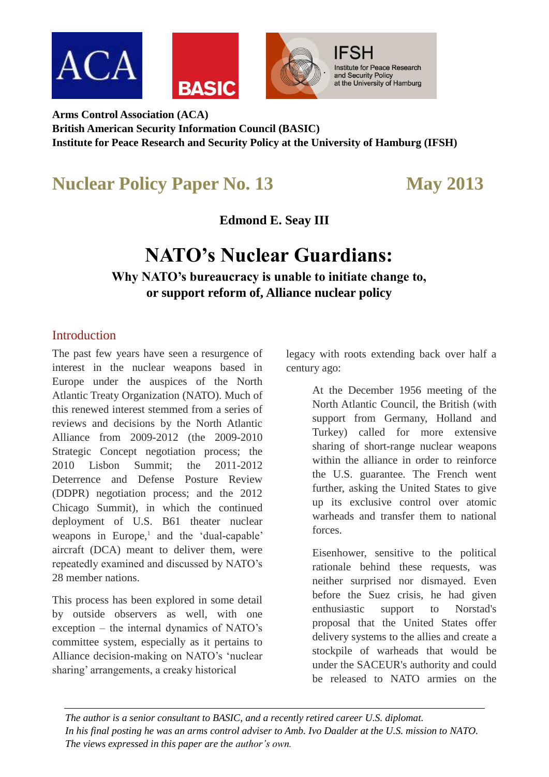

**Arms Control Association (ACA) British American Security Information Council (BASIC) Institute for Peace Research and Security Policy at the University of Hamburg (IFSH)**

## **Nuclear Policy Paper No. 13 May 2013**

**Edmond E. Seay III**

# **NATO's Nuclear Guardians:**

**Why NATO's bureaucracy is unable to initiate change to, or support reform of, Alliance nuclear policy**

#### Introduction

The past few years have seen a resurgence of interest in the nuclear weapons based in Europe under the auspices of the North Atlantic Treaty Organization (NATO). Much of this renewed interest stemmed from a series of reviews and decisions by the North Atlantic Alliance from 2009-2012 (the 2009-2010 Strategic Concept negotiation process; the 2010 Lisbon Summit; the 2011-2012 Deterrence and Defense Posture Review (DDPR) negotiation process; and the 2012 Chicago Summit), in which the continued deployment of U.S. B61 theater nuclear weapons in Europe,<sup>1</sup> and the 'dual-capable' aircraft (DCA) meant to deliver them, were repeatedly examined and discussed by NATO's 28 member nations.

This process has been explored in some detail by outside observers as well, with one exception – the internal dynamics of NATO's committee system, especially as it pertains to Alliance decision-making on NATO's 'nuclear sharing' arrangements, a creaky historical

legacy with roots extending back over half a century ago:

> At the December 1956 meeting of the North Atlantic Council, the British (with support from Germany, Holland and Turkey) called for more extensive sharing of short-range nuclear weapons within the alliance in order to reinforce the U.S. guarantee. The French went further, asking the United States to give up its exclusive control over atomic warheads and transfer them to national forces.

> Eisenhower, sensitive to the political rationale behind these requests, was neither surprised nor dismayed. Even before the Suez crisis, he had given enthusiastic support to Norstad's proposal that the United States offer delivery systems to the allies and create a stockpile of warheads that would be under the SACEUR's authority and could be released to NATO armies on the

*The author is a senior consultant to BASIC, and a recently retired career U.S. diplomat. In his final posting he was an arms control adviser to Amb. Ivo Daalder at the U.S. mission to NATO. The views expressed in this paper are the author's own.*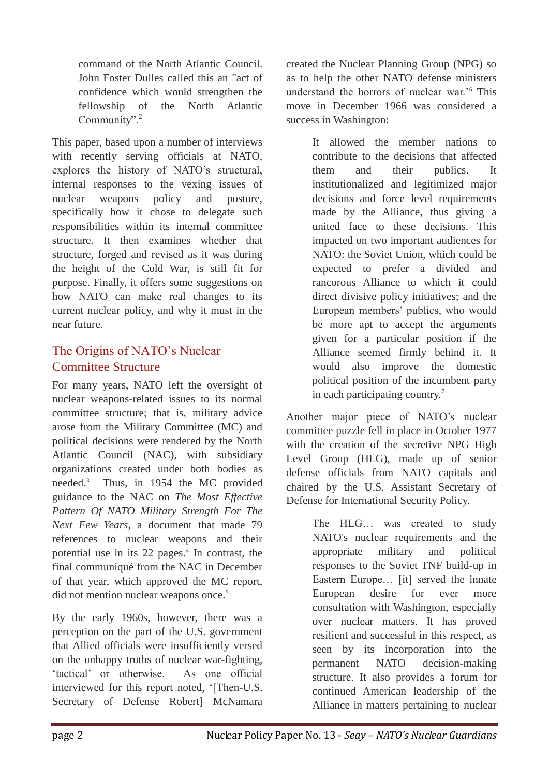command of the North Atlantic Council. John Foster Dulles called this an "act of confidence which would strengthen the fellowship of the North Atlantic Community".<sup>2</sup>

This paper, based upon a number of interviews with recently serving officials at NATO, explores the history of NATO's structural, internal responses to the vexing issues of nuclear weapons policy and posture, specifically how it chose to delegate such responsibilities within its internal committee structure. It then examines whether that structure, forged and revised as it was during the height of the Cold War, is still fit for purpose. Finally, it offers some suggestions on how NATO can make real changes to its current nuclear policy, and why it must in the near future.

#### The Origins of NATO's Nuclear Committee Structure

For many years, NATO left the oversight of nuclear weapons-related issues to its normal committee structure; that is, military advice arose from the Military Committee (MC) and political decisions were rendered by the North Atlantic Council (NAC), with subsidiary organizations created under both bodies as needed.<sup>3</sup> Thus, in 1954 the MC provided guidance to the NAC on *The Most Effective Pattern Of NATO Military Strength For The Next Few Years*, a document that made 79 references to nuclear weapons and their potential use in its  $22$  pages.<sup>4</sup> In contrast, the final communiqué from the NAC in December of that year, which approved the MC report, did not mention nuclear weapons once.<sup>5</sup>

By the early 1960s, however, there was a perception on the part of the U.S. government that Allied officials were insufficiently versed on the unhappy truths of nuclear war-fighting, 'tactical' or otherwise. As one official interviewed for this report noted, '[Then-U.S. Secretary of Defense Robert] McNamara

created the Nuclear Planning Group (NPG) so as to help the other NATO defense ministers understand the horrors of nuclear war.<sup>16</sup> This move in December 1966 was considered a success in Washington:

> It allowed the member nations to contribute to the decisions that affected them and their publics. It institutionalized and legitimized major decisions and force level requirements made by the Alliance, thus giving a united face to these decisions. This impacted on two important audiences for NATO: the Soviet Union, which could be expected to prefer a divided and rancorous Alliance to which it could direct divisive policy initiatives; and the European members' publics, who would be more apt to accept the arguments given for a particular position if the Alliance seemed firmly behind it. It would also improve the domestic political position of the incumbent party in each participating country.<sup>7</sup>

Another major piece of NATO's nuclear committee puzzle fell in place in October 1977 with the creation of the secretive NPG High Level Group (HLG), made up of senior defense officials from NATO capitals and chaired by the U.S. Assistant Secretary of Defense for International Security Policy.

> The HLG… was created to study NATO's nuclear requirements and the appropriate military and political responses to the Soviet TNF build-up in Eastern Europe… [it] served the innate European desire for ever more consultation with Washington, especially over nuclear matters. It has proved resilient and successful in this respect, as seen by its incorporation into the permanent NATO decision-making structure. It also provides a forum for continued American leadership of the Alliance in matters pertaining to nuclear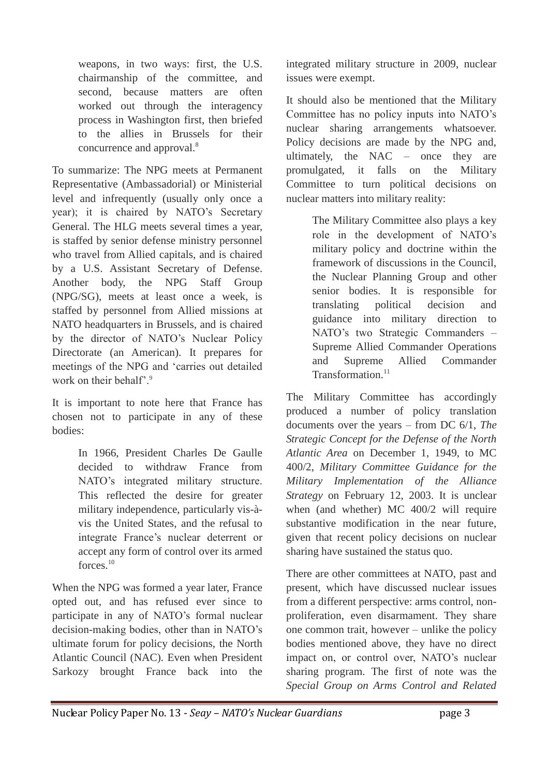weapons, in two ways: first, the U.S. chairmanship of the committee, and second, because matters are often worked out through the interagency process in Washington first, then briefed to the allies in Brussels for their concurrence and approval.<sup>8</sup>

To summarize: The NPG meets at Permanent Representative (Ambassadorial) or Ministerial level and infrequently (usually only once a year); it is chaired by NATO's Secretary General. The HLG meets several times a year, is staffed by senior defense ministry personnel who travel from Allied capitals, and is chaired by a U.S. Assistant Secretary of Defense. Another body, the NPG Staff Group (NPG/SG), meets at least once a week, is staffed by personnel from Allied missions at NATO headquarters in Brussels, and is chaired by the director of NATO's Nuclear Policy Directorate (an American). It prepares for meetings of the NPG and 'carries out detailed work on their behalf'.<sup>9</sup>

It is important to note here that France has chosen not to participate in any of these bodies:

> In 1966, President Charles De Gaulle decided to withdraw France from NATO's integrated military structure. This reflected the desire for greater military independence, particularly vis-àvis the United States, and the refusal to integrate France's nuclear deterrent or accept any form of control over its armed forces<sup>10</sup>

When the NPG was formed a year later, France opted out, and has refused ever since to participate in any of NATO's formal nuclear decision-making bodies, other than in NATO's ultimate forum for policy decisions, the North Atlantic Council (NAC). Even when President Sarkozy brought France back into the

integrated military structure in 2009, nuclear issues were exempt.

It should also be mentioned that the Military Committee has no policy inputs into NATO's nuclear sharing arrangements whatsoever. Policy decisions are made by the NPG and, ultimately, the NAC – once they are promulgated, it falls on the Military Committee to turn political decisions on nuclear matters into military reality:

> The Military Committee also plays a key role in the development of NATO's military policy and doctrine within the framework of discussions in the Council, the Nuclear Planning Group and other senior bodies. It is responsible for translating political decision and guidance into military direction to NATO's two Strategic Commanders – Supreme Allied Commander Operations and Supreme Allied Commander Transformation.<sup>11</sup>

The Military Committee has accordingly produced a number of policy translation documents over the years – from DC 6/1, *The Strategic Concept for the Defense of the North Atlantic Area* on December 1, 1949, to MC 400/2, *Military Committee Guidance for the Military Implementation of the Alliance Strategy* on February 12, 2003. It is unclear when (and whether) MC 400/2 will require substantive modification in the near future, given that recent policy decisions on nuclear sharing have sustained the status quo.

There are other committees at NATO, past and present, which have discussed nuclear issues from a different perspective: arms control, nonproliferation, even disarmament. They share one common trait, however – unlike the policy bodies mentioned above, they have no direct impact on, or control over, NATO's nuclear sharing program. The first of note was the *Special Group on Arms Control and Related*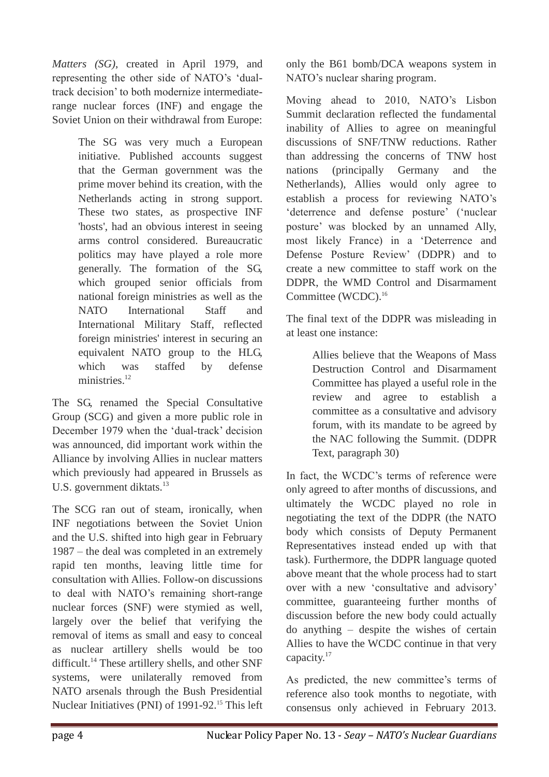*Matters (SG)*, created in April 1979, and representing the other side of NATO's 'dualtrack decision' to both modernize intermediaterange nuclear forces (INF) and engage the Soviet Union on their withdrawal from Europe:

> The SG was very much a European initiative. Published accounts suggest that the German government was the prime mover behind its creation, with the Netherlands acting in strong support. These two states, as prospective INF 'hosts', had an obvious interest in seeing arms control considered. Bureaucratic politics may have played a role more generally. The formation of the SG, which grouped senior officials from national foreign ministries as well as the NATO International Staff and International Military Staff, reflected foreign ministries' interest in securing an equivalent NATO group to the HLG, which was staffed by defense ministries.<sup>12</sup>

The SG, renamed the Special Consultative Group (SCG) and given a more public role in December 1979 when the 'dual-track' decision was announced, did important work within the Alliance by involving Allies in nuclear matters which previously had appeared in Brussels as U.S. government diktats.<sup>13</sup>

The SCG ran out of steam, ironically, when INF negotiations between the Soviet Union and the U.S. shifted into high gear in February 1987 – the deal was completed in an extremely rapid ten months, leaving little time for consultation with Allies. Follow-on discussions to deal with NATO's remaining short-range nuclear forces (SNF) were stymied as well, largely over the belief that verifying the removal of items as small and easy to conceal as nuclear artillery shells would be too difficult.<sup>14</sup> These artillery shells, and other SNF systems, were unilaterally removed from NATO arsenals through the Bush Presidential Nuclear Initiatives (PNI) of 1991-92.<sup>15</sup> This left only the B61 bomb/DCA weapons system in NATO's nuclear sharing program.

Moving ahead to 2010, NATO's Lisbon Summit declaration reflected the fundamental inability of Allies to agree on meaningful discussions of SNF/TNW reductions. Rather than addressing the concerns of TNW host nations (principally Germany and the Netherlands), Allies would only agree to establish a process for reviewing NATO's 'deterrence and defense posture' ('nuclear posture' was blocked by an unnamed Ally, most likely France) in a 'Deterrence and Defense Posture Review' (DDPR) and to create a new committee to staff work on the DDPR, the WMD Control and Disarmament Committee (WCDC).<sup>16</sup>

The final text of the DDPR was misleading in at least one instance:

> Allies believe that the Weapons of Mass Destruction Control and Disarmament Committee has played a useful role in the review and agree to establish a committee as a consultative and advisory forum, with its mandate to be agreed by the NAC following the Summit. (DDPR Text, paragraph 30)

In fact, the WCDC's terms of reference were only agreed to after months of discussions, and ultimately the WCDC played no role in negotiating the text of the DDPR (the NATO body which consists of Deputy Permanent Representatives instead ended up with that task). Furthermore, the DDPR language quoted above meant that the whole process had to start over with a new 'consultative and advisory' committee, guaranteeing further months of discussion before the new body could actually do anything – despite the wishes of certain Allies to have the WCDC continue in that very capacity.<sup>17</sup>

As predicted, the new committee's terms of reference also took months to negotiate, with consensus only achieved in February 2013.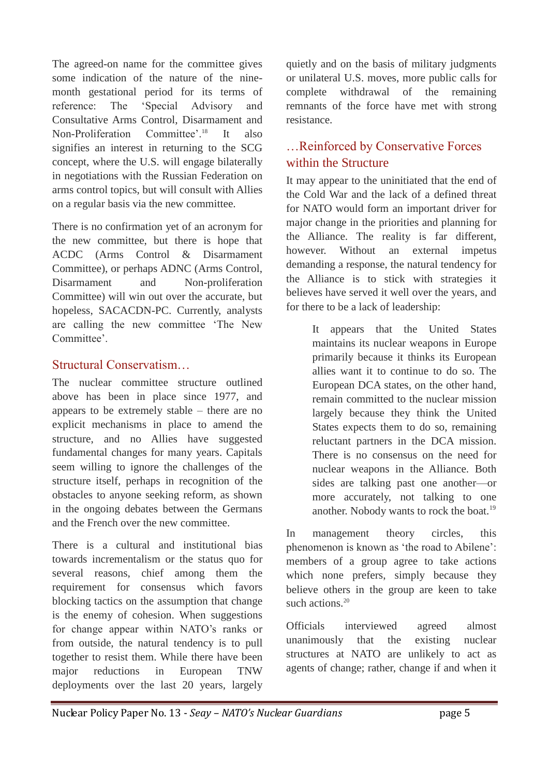The agreed-on name for the committee gives some indication of the nature of the ninemonth gestational period for its terms of reference: The 'Special Advisory and Consultative Arms Control, Disarmament and Non-Proliferation Committee'.<sup>18</sup> It also signifies an interest in returning to the SCG concept, where the U.S. will engage bilaterally in negotiations with the Russian Federation on arms control topics, but will consult with Allies on a regular basis via the new committee.

There is no confirmation yet of an acronym for the new committee, but there is hope that ACDC (Arms Control & Disarmament Committee), or perhaps ADNC (Arms Control, Disarmament and Non-proliferation Committee) will win out over the accurate, but hopeless, SACACDN-PC. Currently, analysts are calling the new committee 'The New Committee'

#### Structural Conservatism…

The nuclear committee structure outlined above has been in place since 1977, and appears to be extremely stable – there are no explicit mechanisms in place to amend the structure, and no Allies have suggested fundamental changes for many years. Capitals seem willing to ignore the challenges of the structure itself, perhaps in recognition of the obstacles to anyone seeking reform, as shown in the ongoing debates between the Germans and the French over the new committee.

There is a cultural and institutional bias towards incrementalism or the status quo for several reasons, chief among them the requirement for consensus which favors blocking tactics on the assumption that change is the enemy of cohesion. When suggestions for change appear within NATO's ranks or from outside, the natural tendency is to pull together to resist them. While there have been major reductions in European TNW deployments over the last 20 years, largely

quietly and on the basis of military judgments or unilateral U.S. moves, more public calls for complete withdrawal of the remaining remnants of the force have met with strong resistance.

#### …Reinforced by Conservative Forces within the Structure

It may appear to the uninitiated that the end of the Cold War and the lack of a defined threat for NATO would form an important driver for major change in the priorities and planning for the Alliance. The reality is far different, however. Without an external impetus demanding a response, the natural tendency for the Alliance is to stick with strategies it believes have served it well over the years, and for there to be a lack of leadership:

> It appears that the United States maintains its nuclear weapons in Europe primarily because it thinks its European allies want it to continue to do so. The European DCA states, on the other hand, remain committed to the nuclear mission largely because they think the United States expects them to do so, remaining reluctant partners in the DCA mission. There is no consensus on the need for nuclear weapons in the Alliance. Both sides are talking past one another—or more accurately, not talking to one another. Nobody wants to rock the boat.<sup>19</sup>

In management theory circles, this phenomenon is known as 'the road to Abilene': members of a group agree to take actions which none prefers, simply because they believe others in the group are keen to take such actions.<sup>20</sup>

Officials interviewed agreed almost unanimously that the existing nuclear structures at NATO are unlikely to act as agents of change; rather, change if and when it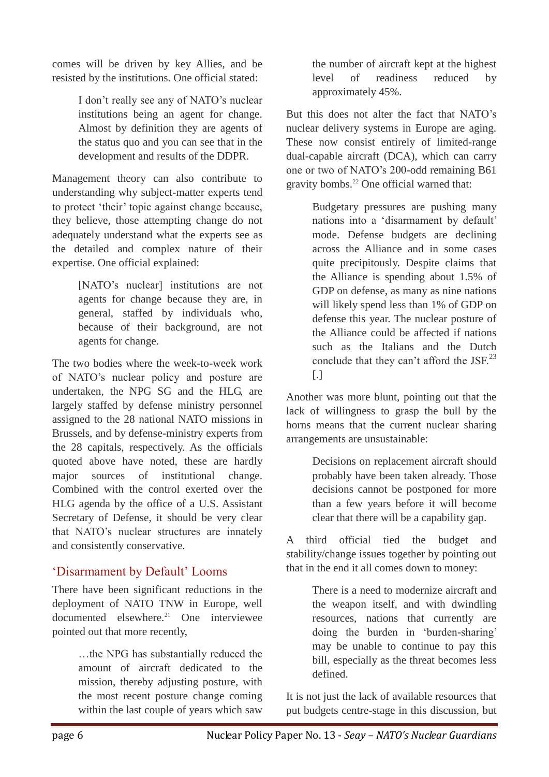comes will be driven by key Allies, and be resisted by the institutions. One official stated:

> I don't really see any of NATO's nuclear institutions being an agent for change. Almost by definition they are agents of the status quo and you can see that in the development and results of the DDPR.

Management theory can also contribute to understanding why subject-matter experts tend to protect 'their' topic against change because, they believe, those attempting change do not adequately understand what the experts see as the detailed and complex nature of their expertise. One official explained:

> [NATO's nuclear] institutions are not agents for change because they are, in general, staffed by individuals who, because of their background, are not agents for change.

The two bodies where the week-to-week work of NATO's nuclear policy and posture are undertaken, the NPG SG and the HLG, are largely staffed by defense ministry personnel assigned to the 28 national NATO missions in Brussels, and by defense-ministry experts from the 28 capitals, respectively. As the officials quoted above have noted, these are hardly major sources of institutional change. Combined with the control exerted over the HLG agenda by the office of a U.S. Assistant Secretary of Defense, it should be very clear that NATO's nuclear structures are innately and consistently conservative.

#### 'Disarmament by Default' Looms

There have been significant reductions in the deployment of NATO TNW in Europe, well  $documented$  elsewhere.<sup>21</sup> One interviewee pointed out that more recently,

> …the NPG has substantially reduced the amount of aircraft dedicated to the mission, thereby adjusting posture, with the most recent posture change coming within the last couple of years which saw

the number of aircraft kept at the highest level of readiness reduced by approximately 45%.

But this does not alter the fact that NATO's nuclear delivery systems in Europe are aging. These now consist entirely of limited-range dual-capable aircraft (DCA), which can carry one or two of NATO's 200-odd remaining B61 gravity bombs.<sup>22</sup> One official warned that:

> Budgetary pressures are pushing many nations into a 'disarmament by default' mode. Defense budgets are declining across the Alliance and in some cases quite precipitously. Despite claims that the Alliance is spending about 1.5% of GDP on defense, as many as nine nations will likely spend less than 1% of GDP on defense this year. The nuclear posture of the Alliance could be affected if nations such as the Italians and the Dutch conclude that they can't afford the JSF.<sup>23</sup>  $\overline{[}$ .]

Another was more blunt, pointing out that the lack of willingness to grasp the bull by the horns means that the current nuclear sharing arrangements are unsustainable:

> Decisions on replacement aircraft should probably have been taken already. Those decisions cannot be postponed for more than a few years before it will become clear that there will be a capability gap.

A third official tied the budget and stability/change issues together by pointing out that in the end it all comes down to money:

> There is a need to modernize aircraft and the weapon itself, and with dwindling resources, nations that currently are doing the burden in 'burden-sharing' may be unable to continue to pay this bill, especially as the threat becomes less defined.

It is not just the lack of available resources that put budgets centre-stage in this discussion, but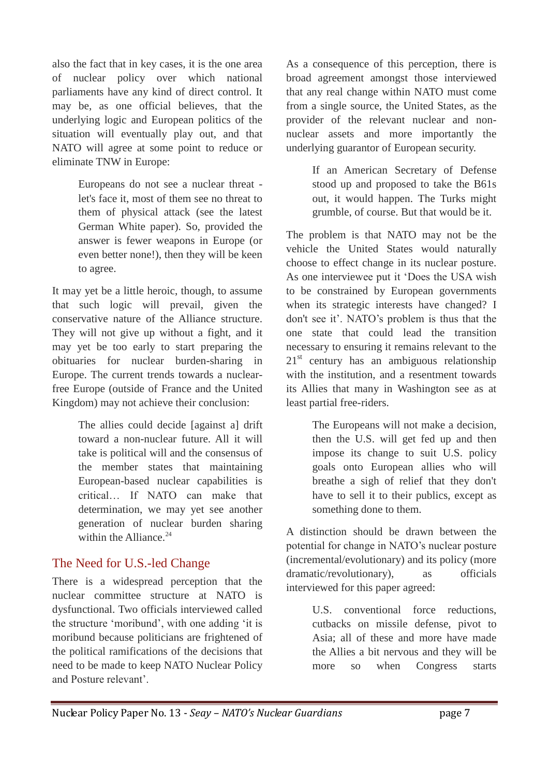also the fact that in key cases, it is the one area of nuclear policy over which national parliaments have any kind of direct control. It may be, as one official believes, that the underlying logic and European politics of the situation will eventually play out, and that NATO will agree at some point to reduce or eliminate TNW in Europe:

> Europeans do not see a nuclear threat let's face it, most of them see no threat to them of physical attack (see the latest German White paper). So, provided the answer is fewer weapons in Europe (or even better none!), then they will be keen to agree.

It may yet be a little heroic, though, to assume that such logic will prevail, given the conservative nature of the Alliance structure. They will not give up without a fight, and it may yet be too early to start preparing the obituaries for nuclear burden-sharing in Europe. The current trends towards a nuclearfree Europe (outside of France and the United Kingdom) may not achieve their conclusion:

> The allies could decide [against a] drift toward a non-nuclear future. All it will take is political will and the consensus of the member states that maintaining European-based nuclear capabilities is critical… If NATO can make that determination, we may yet see another generation of nuclear burden sharing within the Alliance. $24$

#### The Need for U.S.-led Change

There is a widespread perception that the nuclear committee structure at NATO is dysfunctional. Two officials interviewed called the structure 'moribund', with one adding 'it is moribund because politicians are frightened of the political ramifications of the decisions that need to be made to keep NATO Nuclear Policy and Posture relevant'.

As a consequence of this perception, there is broad agreement amongst those interviewed that any real change within NATO must come from a single source, the United States, as the provider of the relevant nuclear and nonnuclear assets and more importantly the underlying guarantor of European security.

> If an American Secretary of Defense stood up and proposed to take the B61s out, it would happen. The Turks might grumble, of course. But that would be it.

The problem is that NATO may not be the vehicle the United States would naturally choose to effect change in its nuclear posture. As one interviewee put it 'Does the USA wish to be constrained by European governments when its strategic interests have changed? I don't see it'. NATO's problem is thus that the one state that could lead the transition necessary to ensuring it remains relevant to the  $21<sup>st</sup>$  century has an ambiguous relationship with the institution, and a resentment towards its Allies that many in Washington see as at least partial free-riders.

> The Europeans will not make a decision, then the U.S. will get fed up and then impose its change to suit U.S. policy goals onto European allies who will breathe a sigh of relief that they don't have to sell it to their publics, except as something done to them.

A distinction should be drawn between the potential for change in NATO's nuclear posture (incremental/evolutionary) and its policy (more dramatic/revolutionary), as officials interviewed for this paper agreed:

> U.S. conventional force reductions, cutbacks on missile defense, pivot to Asia; all of these and more have made the Allies a bit nervous and they will be more so when Congress starts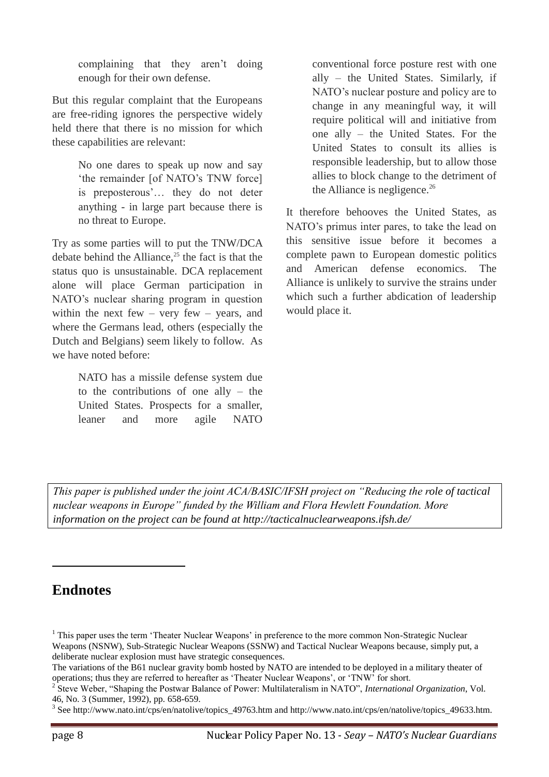complaining that they aren't doing enough for their own defense.

But this regular complaint that the Europeans are free-riding ignores the perspective widely held there that there is no mission for which these capabilities are relevant:

> No one dares to speak up now and say 'the remainder [of NATO's TNW force] is preposterous'… they do not deter anything - in large part because there is no threat to Europe.

Try as some parties will to put the TNW/DCA debate behind the Alliance, $25$  the fact is that the status quo is unsustainable. DCA replacement alone will place German participation in NATO's nuclear sharing program in question within the next few – very few – years, and where the Germans lead, others (especially the Dutch and Belgians) seem likely to follow. As we have noted before:

> NATO has a missile defense system due to the contributions of one ally – the United States. Prospects for a smaller, leaner and more agile NATO

conventional force posture rest with one ally – the United States. Similarly, if NATO's nuclear posture and policy are to change in any meaningful way, it will require political will and initiative from one ally – the United States. For the United States to consult its allies is responsible leadership, but to allow those allies to block change to the detriment of the Alliance is negligence. $26$ 

It therefore behooves the United States, as NATO's primus inter pares, to take the lead on this sensitive issue before it becomes a complete pawn to European domestic politics and American defense economics. The Alliance is unlikely to survive the strains under which such a further abdication of leadership would place it.

*This paper is published under the joint ACA/BASIC/IFSH project on "Reducing the role of tactical nuclear weapons in Europe" funded by the William and Flora Hewlett Foundation. More information on the project can be found at http://tacticalnuclearweapons.ifsh.de/*

### **Endnotes**

1

<sup>&</sup>lt;sup>1</sup> This paper uses the term 'Theater Nuclear Weapons' in preference to the more common Non-Strategic Nuclear Weapons (NSNW), Sub-Strategic Nuclear Weapons (SSNW) and Tactical Nuclear Weapons because, simply put, a deliberate nuclear explosion must have strategic consequences.

The variations of the B61 nuclear gravity bomb hosted by NATO are intended to be deployed in a military theater of operations; thus they are referred to hereafter as 'Theater Nuclear Weapons', or 'TNW' for short.

<sup>2</sup> Steve Weber, "Shaping the Postwar Balance of Power: Multilateralism in NATO", *International Organization*, Vol. 46, No. 3 (Summer, 1992), pp. 658-659.

<sup>&</sup>lt;sup>3</sup> See http://www.nato.int/cps/en/natolive/topics\_49763.htm and http://www.nato.int/cps/en/natolive/topics\_49633.htm.